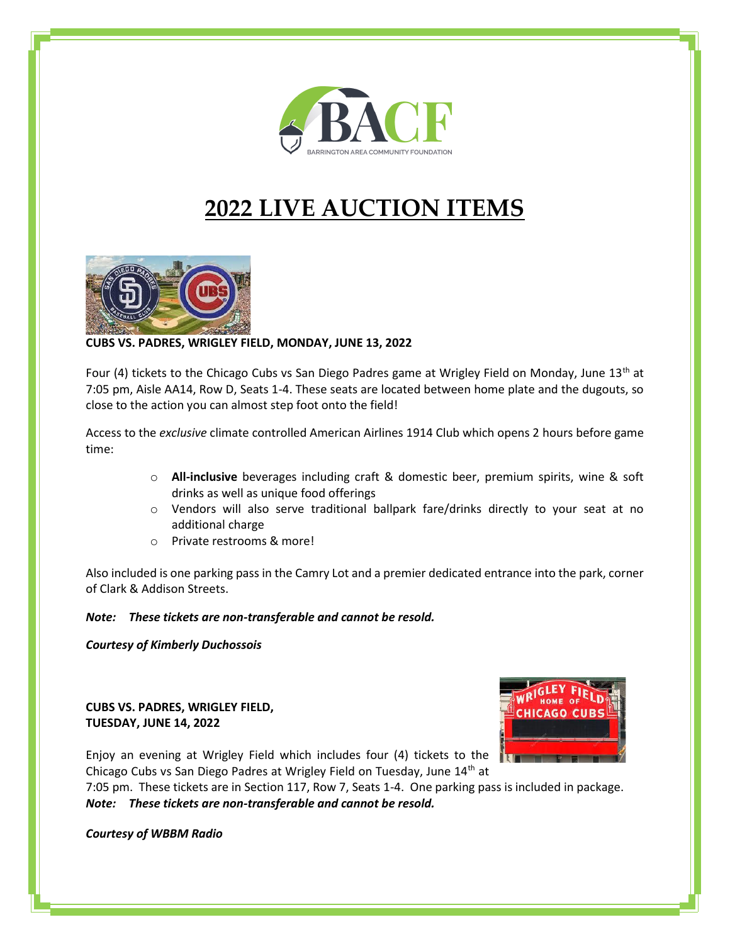

# **2022 LIVE AUCTION ITEMS**



**CUBS VS. PADRES, WRIGLEY FIELD, MONDAY, JUNE 13, 2022**

Four (4) tickets to the Chicago Cubs vs San Diego Padres game at Wrigley Field on Monday, June  $13<sup>th</sup>$  at 7:05 pm, Aisle AA14, Row D, Seats 1-4. These seats are located between home plate and the dugouts, so close to the action you can almost step foot onto the field!

Access to the *exclusive* climate controlled American Airlines 1914 Club which opens 2 hours before game time:

- o **All-inclusive** beverages including craft & domestic beer, premium spirits, wine & soft drinks as well as unique food offerings
- $\circ$  Vendors will also serve traditional ballpark fare/drinks directly to your seat at no additional charge
- o Private restrooms & more!

Also included is one parking pass in the Camry Lot and a premier dedicated entrance into the park, corner of Clark & Addison Streets.

#### *Note: These tickets are non-transferable and cannot be resold.*

*Courtesy of Kimberly Duchossois*

**CUBS VS. PADRES, WRIGLEY FIELD, TUESDAY, JUNE 14, 2022**



Enjoy an evening at Wrigley Field which includes four (4) tickets to the Chicago Cubs vs San Diego Padres at Wrigley Field on Tuesday, June 14<sup>th</sup> at

7:05 pm. These tickets are in Section 117, Row 7, Seats 1-4. One parking pass is included in package. *Note: These tickets are non-transferable and cannot be resold.* 

*Courtesy of WBBM Radio*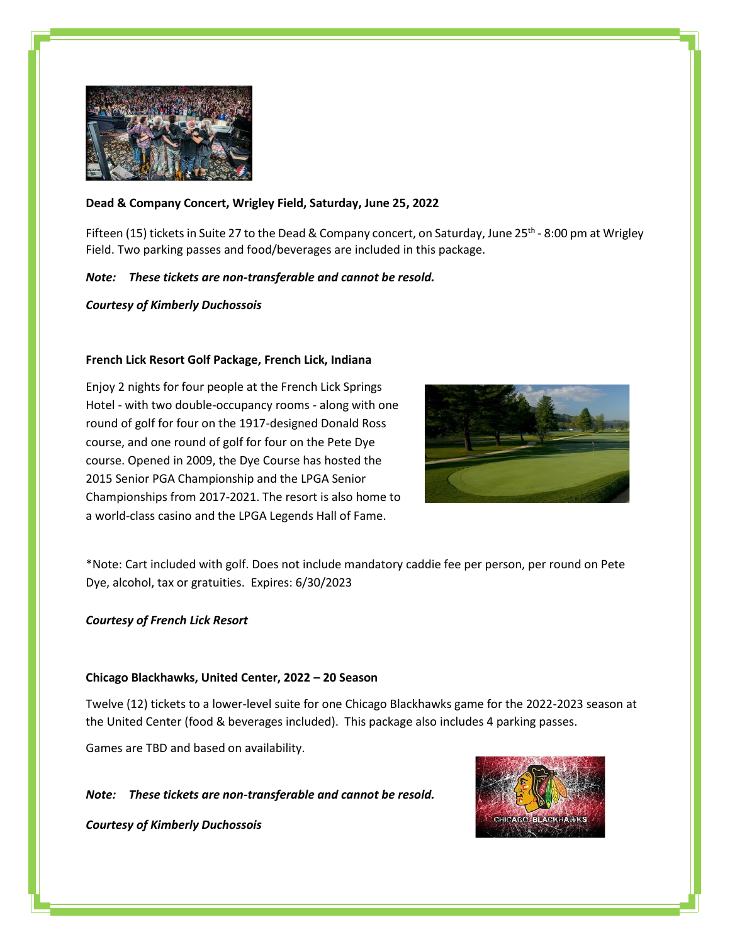

## **Dead & Company Concert, Wrigley Field, Saturday, June 25, 2022**

Fifteen (15) tickets in Suite 27 to the Dead & Company concert, on Saturday, June 25<sup>th</sup> - 8:00 pm at Wrigley Field. Two parking passes and food/beverages are included in this package.

## *Note: These tickets are non-transferable and cannot be resold.*

*Courtesy of Kimberly Duchossois*

## **French Lick Resort Golf Package, French Lick, Indiana**

Enjoy 2 nights for four people at the French Lick Springs Hotel - with two double-occupancy rooms - along with one round of golf for four on the 1917-designed Donald Ross course, and one round of golf for four on the Pete Dye course. Opened in 2009, the Dye Course has hosted the 2015 Senior PGA Championship and the LPGA Senior Championships from 2017-2021. The resort is also home to a world-class casino and the LPGA Legends Hall of Fame.



\*Note: Cart included with golf. Does not include mandatory caddie fee per person, per round on Pete Dye, alcohol, tax or gratuities. Expires: 6/30/2023

#### *Courtesy of French Lick Resort*

#### **Chicago Blackhawks, United Center, 2022 – 20 Season**

Twelve (12) tickets to a lower-level suite for one Chicago Blackhawks game for the 2022-2023 season at the United Center (food & beverages included). This package also includes 4 parking passes.

Games are TBD and based on availability.

*Note: These tickets are non-transferable and cannot be resold.* 

*Courtesy of Kimberly Duchossois*